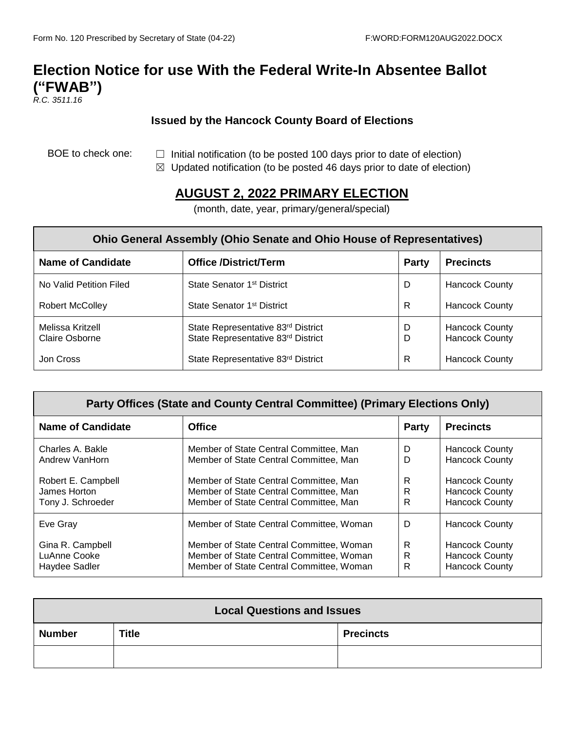## **Election Notice for use With the Federal Write-In Absentee Ballot ("FWAB")**

*R.C. 3511.16*

## **Issued by the Hancock County Board of Elections**

- BOE to check one:  $□$  Initial notification (to be posted 100 days prior to date of election)
	- $\boxtimes$  Updated notification (to be posted 46 days prior to date of election)

## **AUGUST 2, 2022 PRIMARY ELECTION**

(month, date, year, primary/general/special)

| <b>Ohio General Assembly (Ohio Senate and Ohio House of Representatives)</b> |                                                                          |              |                                                |  |  |
|------------------------------------------------------------------------------|--------------------------------------------------------------------------|--------------|------------------------------------------------|--|--|
| <b>Name of Candidate</b>                                                     | <b>Office /District/Term</b>                                             | <b>Party</b> | <b>Precincts</b>                               |  |  |
| No Valid Petition Filed                                                      | State Senator 1 <sup>st</sup> District                                   | D            | <b>Hancock County</b>                          |  |  |
| <b>Robert McColley</b>                                                       | State Senator 1 <sup>st</sup> District                                   | R            | <b>Hancock County</b>                          |  |  |
| Melissa Kritzell<br><b>Claire Osborne</b>                                    | State Representative 83rd District<br>State Representative 83rd District | D<br>D       | <b>Hancock County</b><br><b>Hancock County</b> |  |  |
| Jon Cross                                                                    | State Representative 83rd District                                       | R            | <b>Hancock County</b>                          |  |  |

| Party Offices (State and County Central Committee) (Primary Elections Only) |                                          |              |                       |  |  |
|-----------------------------------------------------------------------------|------------------------------------------|--------------|-----------------------|--|--|
| <b>Name of Candidate</b>                                                    | <b>Office</b>                            | <b>Party</b> | <b>Precincts</b>      |  |  |
| Charles A. Bakle                                                            | Member of State Central Committee, Man   | D            | <b>Hancock County</b> |  |  |
| Andrew VanHorn                                                              | Member of State Central Committee, Man   | D            | <b>Hancock County</b> |  |  |
| Robert E. Campbell                                                          | Member of State Central Committee, Man   | R            | <b>Hancock County</b> |  |  |
| James Horton                                                                | Member of State Central Committee, Man   | R            | <b>Hancock County</b> |  |  |
| Tony J. Schroeder                                                           | Member of State Central Committee, Man   | R            | <b>Hancock County</b> |  |  |
| Eve Gray                                                                    | Member of State Central Committee, Woman | D            | <b>Hancock County</b> |  |  |
| Gina R. Campbell                                                            | Member of State Central Committee, Woman | R            | <b>Hancock County</b> |  |  |
| LuAnne Cooke                                                                | Member of State Central Committee, Woman | R            | <b>Hancock County</b> |  |  |
| Haydee Sadler                                                               | Member of State Central Committee, Woman | R            | <b>Hancock County</b> |  |  |

| <b>Local Questions and Issues</b> |              |                  |  |  |
|-----------------------------------|--------------|------------------|--|--|
| <b>Number</b>                     | <b>Title</b> | <b>Precincts</b> |  |  |
|                                   |              |                  |  |  |